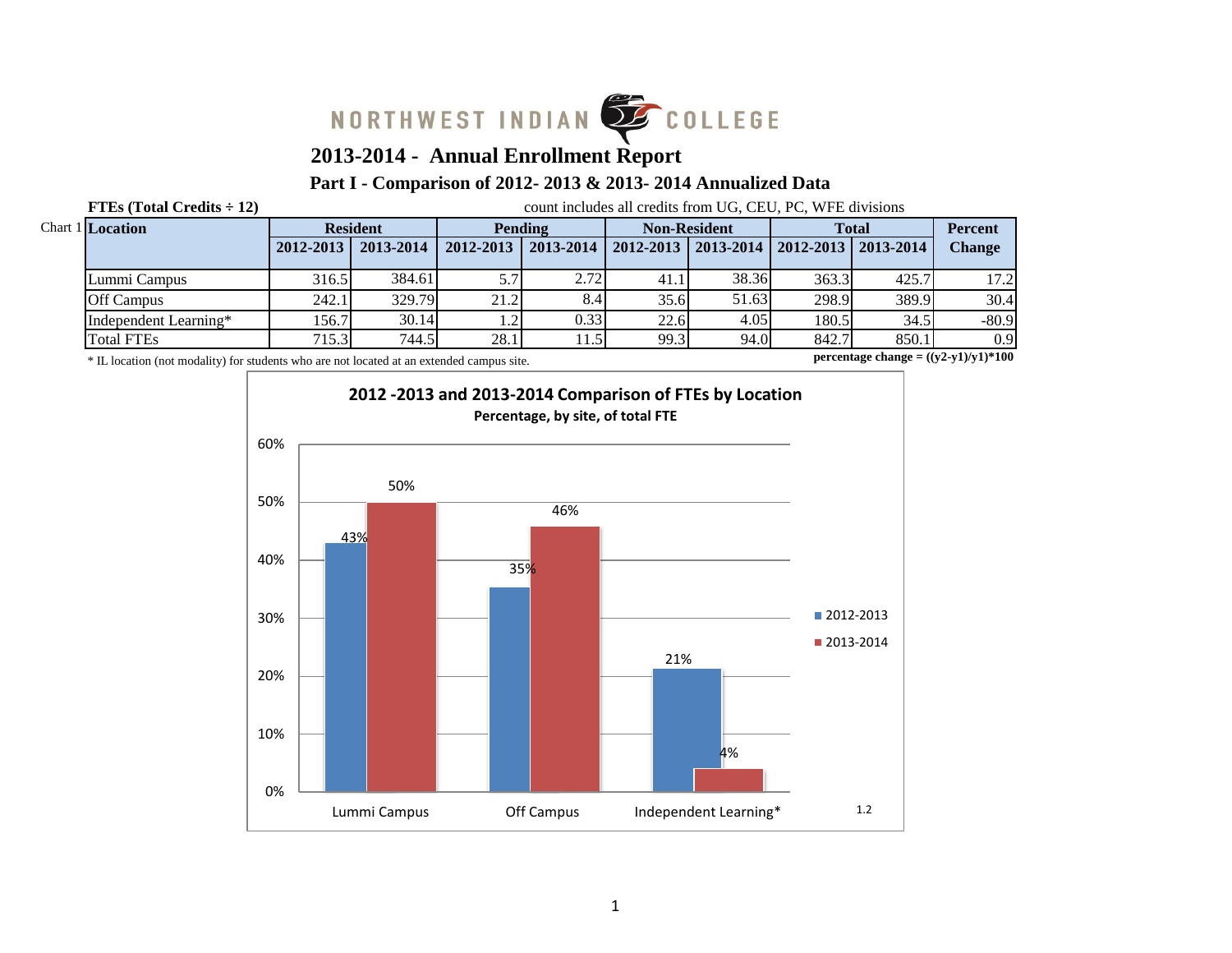

# **2013-2014 - Annual Enrollment Report**

## **Part I - Comparison of 2012- 2013 & 2013- 2014 Annualized Data**

**FTEs (Total Credits**  $\div$  **12)** count includes all credits from UG, CEU, PC, WFE divisions

| <b>Chart 1 Location</b> | <b>Resident</b> |           | <b>Pending</b> |               | <b>Non-Resident</b> |                                               | <b>Total</b> |       | <b>Percent</b> |
|-------------------------|-----------------|-----------|----------------|---------------|---------------------|-----------------------------------------------|--------------|-------|----------------|
|                         | $2012 - 2013$   | 2013-2014 | 2012-2013      | 2013-2014     |                     | 2012-2013   2013-2014   2012-2013   2013-2014 |              |       | <b>Change</b>  |
| Lummi Campus            | 316.5           | 384.61    | 5.7'           | 2.72          | 41.1                | 38.36                                         | 363.3        | 425.7 | 17.21          |
| <b>Off Campus</b>       | 242.1           | 329.79    | 21.2           | 8.4           | 35.6                | 51.63                                         | 298.9        | 389.9 | 30.4           |
| Independent Learning*   | 156.7           | 30.14     | 1.2'           | 0.33          | 22.6                | 4.05                                          | 180.5        | 34.5  | $-80.9$        |
| <b>Total FTEs</b>       | 715.3           | 744.5     | 28.1           | $1.5^{\circ}$ | 99.3                | 94.0                                          | 842.7        | 850.1 | 0.9            |

\* IL location (not modality) for students who are not located at an extended campus site.

**percentage change = ((y2-y1)/y1)\*100**

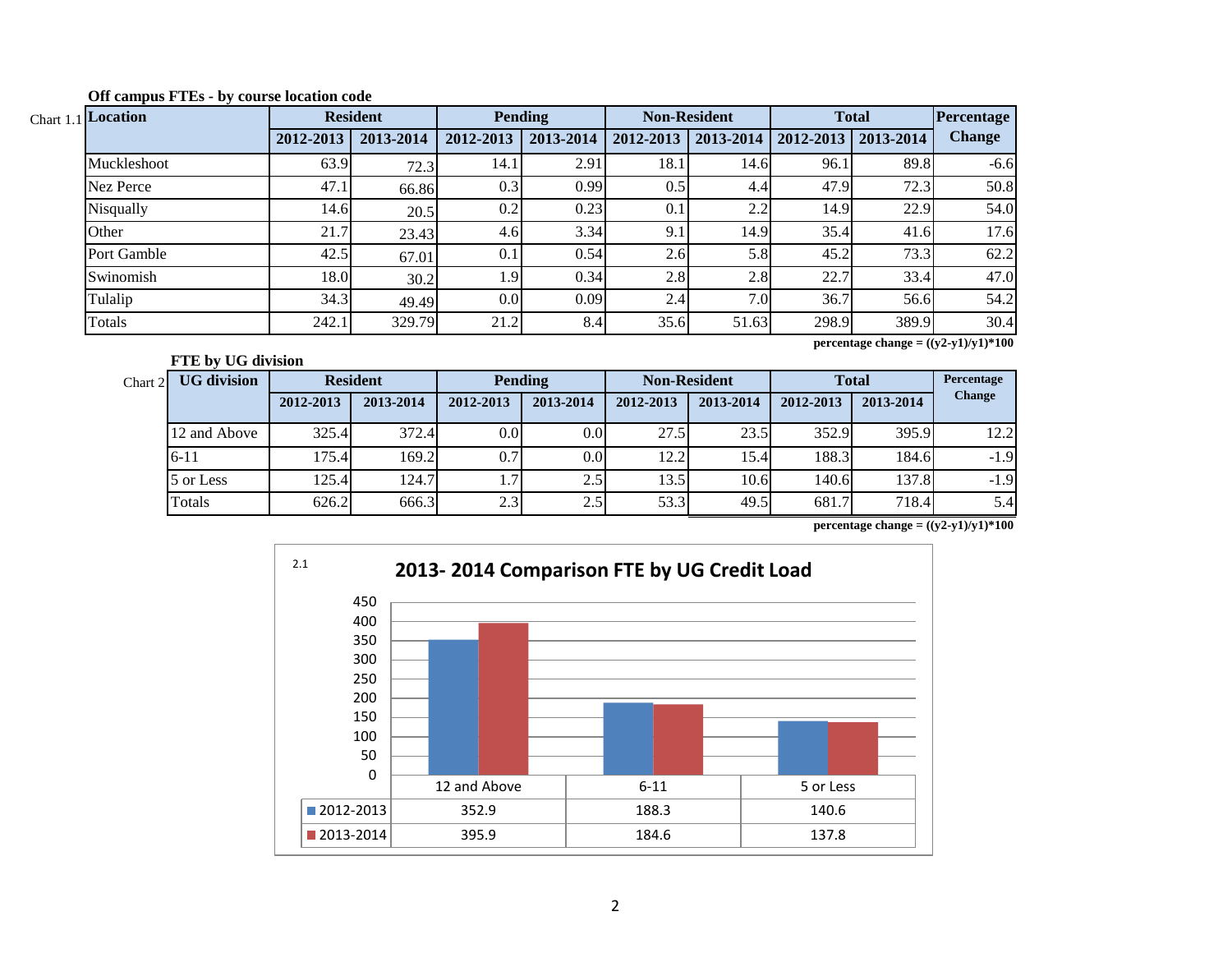| $_{1.1}$ Location | <b>Resident</b> |           |           | <b>Pending</b> | <b>Non-Resident</b> |           | <b>Total</b> |           | Percentage    |
|-------------------|-----------------|-----------|-----------|----------------|---------------------|-----------|--------------|-----------|---------------|
|                   | 2012-2013       | 2013-2014 | 2012-2013 | 2013-2014      | 2012-2013           | 2013-2014 | 2012-2013    | 2013-2014 | <b>Change</b> |
| Muckleshoot       | 63.9            | 72.3      | 14.1      | 2.91           | 18.1                | 14.6      | 96.1         | 89.8      | $-6.6$        |
| Nez Perce         | 47.1            | 66.86     | 0.3       | 0.99           | 0.5                 | 4.4       | 47.9         | 72.3      | 50.8          |
| Nisqually         | 14.6            | 20.5      | 0.2       | 0.23           | 0.1                 | 2.2       | 14.9         | 22.9      | 54.0          |
| Other             | 21.7            | 23.43     | 4.6       | 3.34           | 9.1                 | 14.9      | 35.4         | 41.6      | 17.6          |
| Port Gamble       | 42.5            | 67.01     | 0.1       | 0.54           | 2.6                 | 5.8       | 45.2         | 73.3      | 62.2          |
| Swinomish         | 18.0            | 30.2      | 1.9       | 0.34           | 2.8                 | 2.8       | 22.7         | 33.4      | 47.0          |
| Tulalip           | 34.3            | 49.49     | 0.0       | 0.09           | 2.4                 | 7.0       | 36.7         | 56.6      | 54.2          |
| Totals            | 242.1           | 329.79    | 21.2      | 8.4            | 35.6                | 51.63     | 298.9        | 389.9     | 30.4          |

**Off campus FTEs - by course location code**

Chart

**FTE by UG division**

**percentage change = ((y2-y1)/y1)\*100**

| Chart 2 | <b>UG</b> division |           | <b>Resident</b> | <b>Pending</b>   |                  | <b>Non-Resident</b> |           | <b>Total</b> |           | Percentage    |
|---------|--------------------|-----------|-----------------|------------------|------------------|---------------------|-----------|--------------|-----------|---------------|
|         |                    | 2012-2013 | 2013-2014       | 2012-2013        | 2013-2014        | 2012-2013           | 2013-2014 | 2012-2013    | 2013-2014 | <b>Change</b> |
|         | 12 and Above       | 325.4     | 372.4           | 0.0 <sub>l</sub> | 0.0 <sub>l</sub> | 27.5                | 23.5      | 352.9        | 395.9     | 12.2          |
|         | $6 - 11$           | 175.4     | 169.2           | 0.71             | 0.0              | 12.2                | 15.4      | 188.3        | 184.6     | $-1.9$        |
|         | 5 or Less          | 125.4     | 124.7           |                  | 2.5              | 13.5                | 10.6      | 140.6        | 137.8     | $-1.9$        |
|         | Totals             | 626.2     | 666.3           | 2.3              | 2.5              | 53.3                | 49.5      | 681.7        | 718.4     | 5.4           |

**percentage change =**  $((y2-y1)/y1)*100$ 

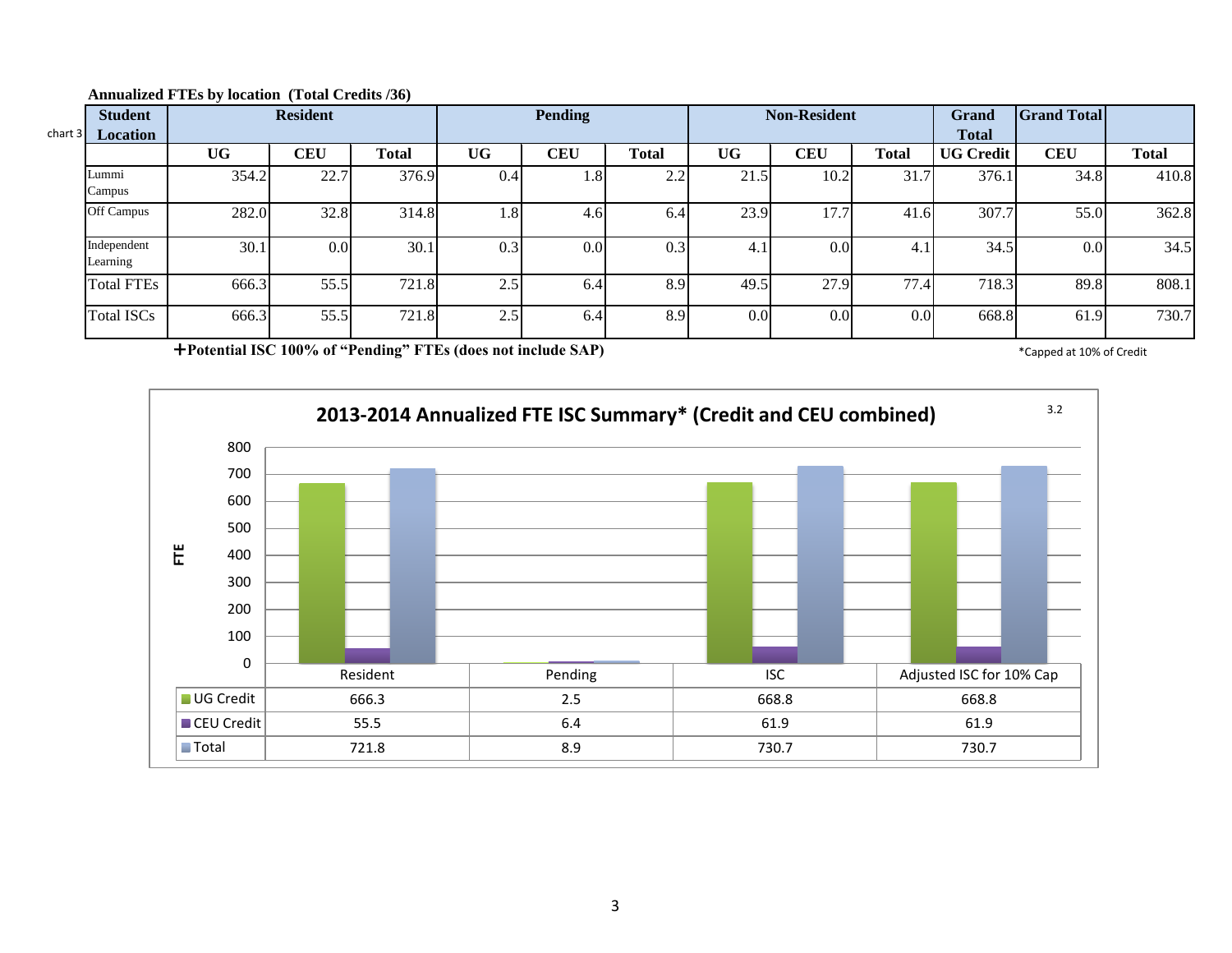| char <sub>1</sub> 3 | <b>Student</b><br><b>Location</b> | <b>Resident</b> |                  |       | <b>Pending</b> |            |              | <b>Non-Resident</b> |            |                  | <b>Grand</b><br><b>Total</b> | <b>Grand Total</b> |              |
|---------------------|-----------------------------------|-----------------|------------------|-------|----------------|------------|--------------|---------------------|------------|------------------|------------------------------|--------------------|--------------|
|                     |                                   | <b>UG</b>       | <b>CEU</b>       | Total | <b>UG</b>      | <b>CEU</b> | <b>Total</b> | <b>UG</b>           | <b>CEU</b> | <b>Total</b>     | <b>UG Credit</b>             | <b>CEU</b>         | <b>Total</b> |
|                     | Lummi<br>Campus                   | 354.2           | 22.7             | 376.9 | 0.4            | 1.8        | 2.2          | 21.5                | 10.2       | 31.7             | 376.1                        | 34.8               | 410.8        |
|                     | Off Campus                        | 282.0           | 32.8             | 314.8 | 1.8            | 4.6        | 6.4          | 23.9                | 17.7       | 41.6             | 307.7                        | 55.0               | 362.8        |
|                     | Independent<br>Learning           | 30.1            | 0.0 <sub>l</sub> | 30.1  | 0.3            | 0.01       | 0.3          | 4.1                 | 0.0        | 4.1              | 34.5                         | 0.0 <sub>l</sub>   | 34.5         |
|                     | <b>Total FTEs</b>                 | 666.3           | 55.5             | 721.8 | 2.5            | 6.4        | 8.9          | 49.5                | 27.9       | 77.4             | 718.3                        | 89.8               | 808.1        |
|                     | <b>Total ISCs</b>                 | 666.3           | 55.5             | 721.8 | 2.5            | 6.4        | 8.9          | 0.0                 | 0.0        | 0.0 <sub>l</sub> | 668.8                        | 61.9               | 730.7        |

#### **Annualized FTEs by location (Total Credits /36)**

**Potential ISC 100% of "Pending" FTEs (does not include SAP)** \* Capped at 10% of Credit \* Capped at 10% of Credit

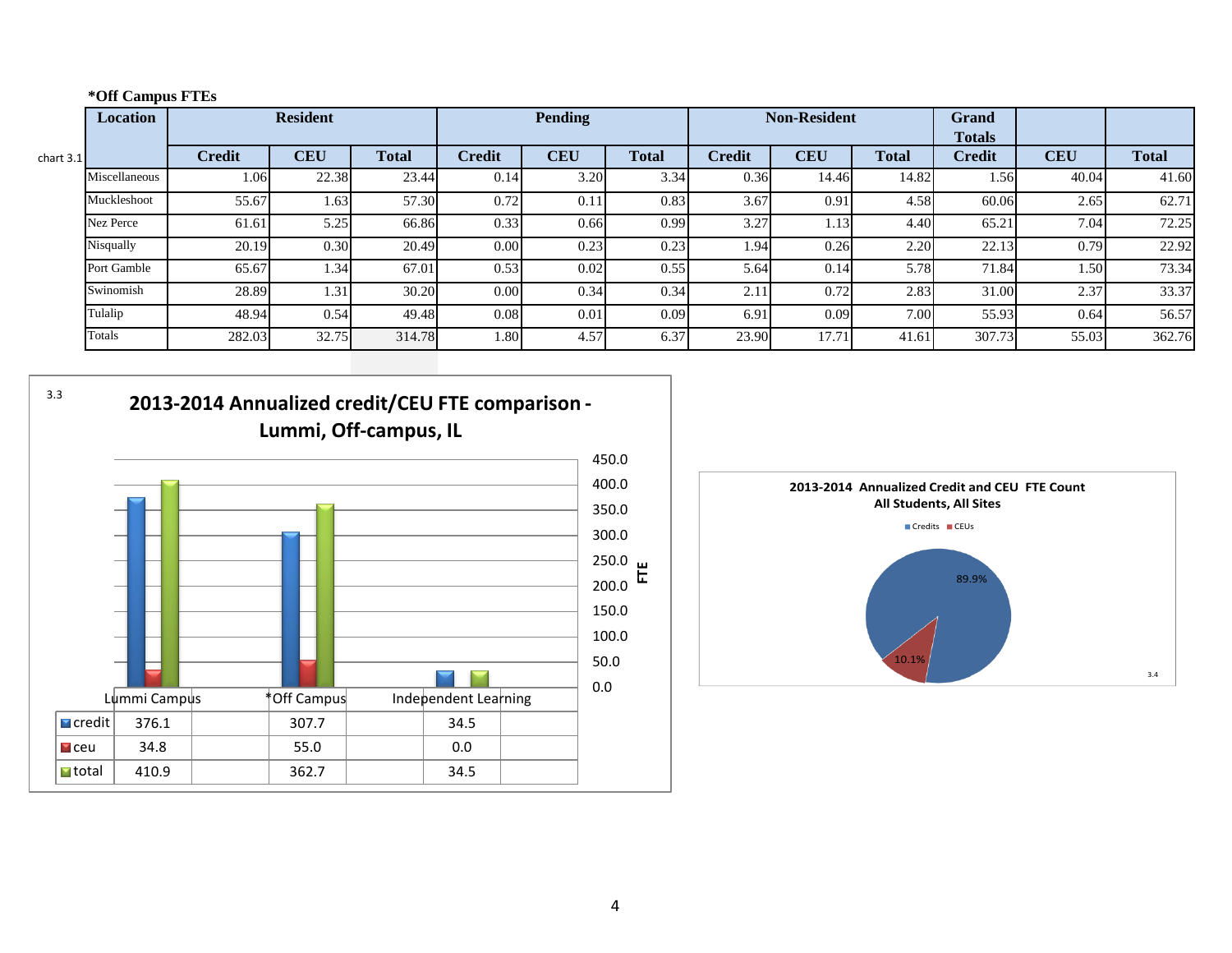## **\*Off Campus FTEs**

3.3

|             | <b>Resident</b><br>Location |               |            | <b>Pending</b> |               |            | <b>Non-Resident</b> |               |            | <b>Grand</b><br><b>Totals</b> |               |            |              |
|-------------|-----------------------------|---------------|------------|----------------|---------------|------------|---------------------|---------------|------------|-------------------------------|---------------|------------|--------------|
| chart $3.1$ |                             | <b>Credit</b> | <b>CEU</b> | <b>Total</b>   | <b>Credit</b> | <b>CEU</b> | <b>Total</b>        | <b>Credit</b> | <b>CEU</b> | <b>Total</b>                  | <b>Credit</b> | <b>CEU</b> | <b>Total</b> |
|             | Miscellaneous               | 1.06          | 22.38      | 23.44          | 0.14          | 3.20       | 3.34                | 0.36          | 14.46      | 14.82                         | 1.56          | 40.04      | 41.60        |
|             | Muckleshoot                 | 55.67         | 1.63       | 57.30          | 0.72          | 0.11       | 0.83                | 3.67          | 0.91       | 4.58                          | 60.06         | 2.65       | 62.71        |
|             | <b>Nez Perce</b>            | 61.61         | 5.25       | 66.86          | 0.33          | 0.66       | 0.99                | 3.27          | 1.13       | 4.40                          | 65.21         | 7.04       | 72.25        |
|             | Nisqually                   | 20.19         | 0.30       | 20.49          | 0.00          | 0.23       | 0.23                | 1.94          | 0.26       | 2.20                          | 22.13         | 0.79       | 22.92        |
|             | Port Gamble                 | 65.67         | 1.34       | 67.01          | 0.53          | 0.02       | 0.55                | 5.64          | 0.14       | 5.78                          | 71.84         | 1.50       | 73.34        |
|             | Swinomish                   | 28.89         | 1.31       | 30.20          | 0.00          | 0.34       | 0.34                | 2.11          | 0.72       | 2.83                          | 31.00         | 2.37       | 33.37        |
|             | Tulalip                     | 48.94         | 0.54       | 49.48          | 0.08          | 0.01       | 0.09                | 6.91          | 0.09       | 7.00                          | 55.93         | 0.64       | 56.57        |
|             | Totals                      | 282.03        | 32.75      | 314.78         | 1.80          | 4.57       | 6.37                | 23.90         | 17.71      | 41.61                         | 307.73        | 55.03      | 362.76       |





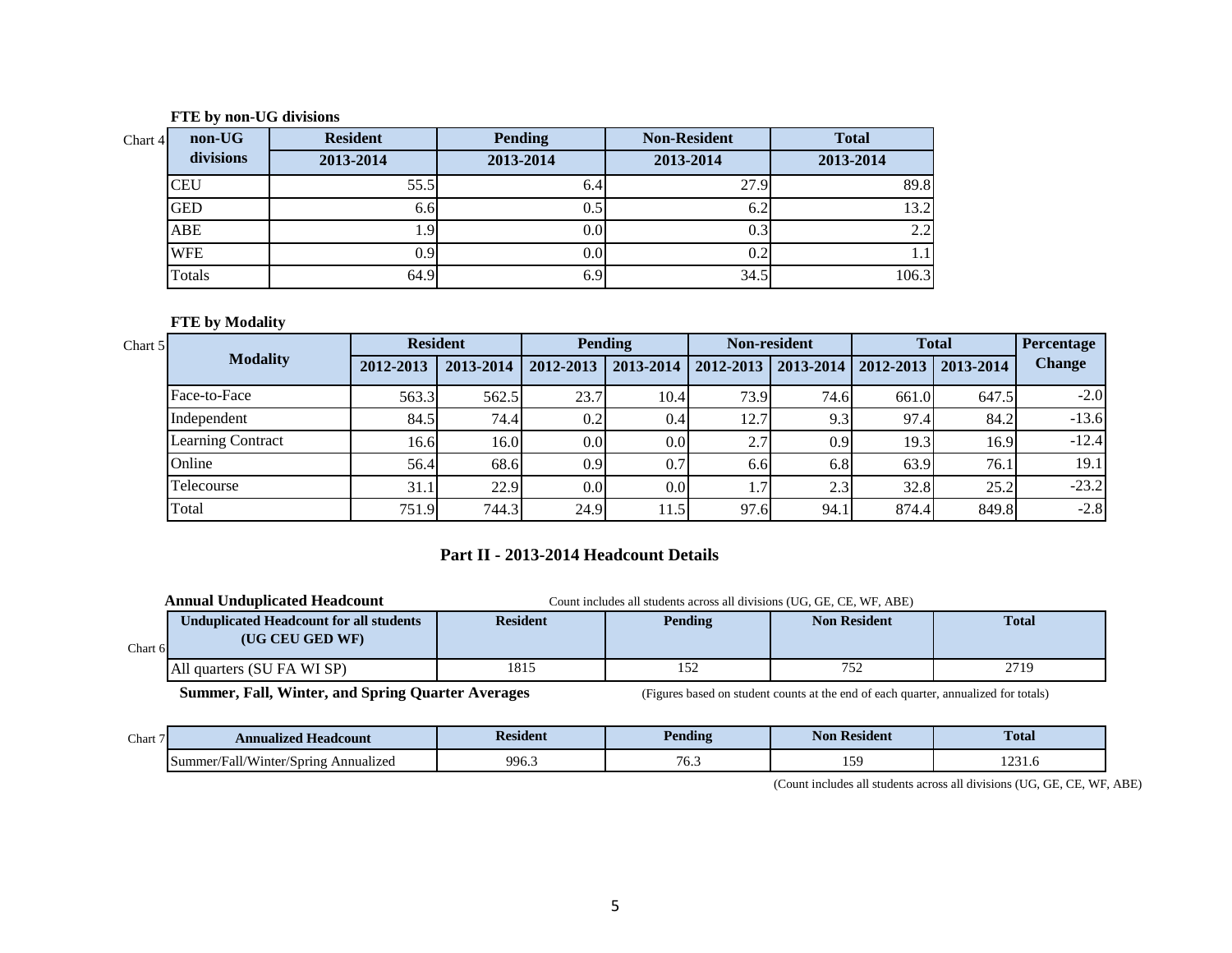#### **FTE by non-UG divisions**

| non-UG<br>Chart 4 | <b>Resident</b> | <b>Pending</b> | <b>Non-Resident</b> | <b>Total</b> |
|-------------------|-----------------|----------------|---------------------|--------------|
| divisions         | 2013-2014       | 2013-2014      | 2013-2014           | 2013-2014    |
| <b>CEU</b>        | 55.5            | 0.4            | 27.9                | 89.8         |
| <b>GED</b>        | 6.6I            | 0.5            | 6.2                 | 13.2         |
| ABE               |                 | U.U            | 0.3                 | 2.2          |
| <b>WFE</b>        | 0.91            | 0.0            | 0.2                 |              |
| Totals            | 64.9            | 6.9            | 34.5                | 106.3        |

# **FTE by Modality**

| Chart 5 |                          | <b>Resident</b> |           | <b>Pending</b>   |                  | <b>Non-resident</b> |                  | <b>Total</b> |                | Percentage    |
|---------|--------------------------|-----------------|-----------|------------------|------------------|---------------------|------------------|--------------|----------------|---------------|
|         | <b>Modality</b>          | 2012-2013       | 2013-2014 | 2012-2013        | 2013-2014        | $2012 - 2013$       | 2013-2014        | 2012-2013    | $12013 - 2014$ | <b>Change</b> |
|         | Face-to-Face             | 563.3           | 562.5     | 23.7             | 10.4             | 73.9                | 74.6             | 661.0        | 647.5          | $-2.0$        |
|         | Independent              | 84.5            | 74.4      | 0.2              | 0.4              | 12.7                | 9.3              | 97.4         | 84.2           | $-13.6$       |
|         | <b>Learning Contract</b> | 16.6            | 16.0      | 0.0 <sub>l</sub> | 0.0 <sub>l</sub> | 2.7                 | 0.9 <sup>°</sup> | 19.3         | 16.9           | $-12.4$       |
|         | Online                   | 56.4            | 68.6      | 0.9 <sup>1</sup> | 0.7              | 6.6                 | 6.8              | 63.9         | 76.1           | 19.1          |
|         | Telecourse               | 31.1            | 22.9      | 0.0 <sub>l</sub> | 0.0              | 1.7'                | 2.3              | 32.8         | 25.2           | $-23.2$       |
|         | Total                    | 751.9           | 744.3     | 24.9             | 11.5             | 97.6                | 94.1             | 874.4        | 849.8          | $-2.8$        |

## **Part II - 2013-2014 Headcount Details**

|          | <b>Annual Unduplicated Headcount</b>                              |                 | Count includes all students across all divisions (UG, GE, CE, WF, ABE) |                     |              |  |  |  |  |
|----------|-------------------------------------------------------------------|-----------------|------------------------------------------------------------------------|---------------------|--------------|--|--|--|--|
| Chart 61 | <b>Unduplicated Headcount for all students</b><br>(UG CEU GED WF) | <b>Resident</b> | Pending                                                                | <b>Non Resident</b> | <b>Total</b> |  |  |  |  |
|          | All quarters (SU FA WI SP)                                        | 1815            | 152                                                                    | 752                 | 2719         |  |  |  |  |

**Summer, Fall, Winter, and Spring Quarter Averages** (Figures based on student counts at the end of each quarter, annualized for totals)

| Chart <sup>®</sup> | Annualized Headcount                       | Resident | Pending        | Non Resident                             | <b>Total</b>   |
|--------------------|--------------------------------------------|----------|----------------|------------------------------------------|----------------|
|                    | Fall/Winter/Spring<br>Annualized<br>ummer/ | 996      | $\mathbf{U}$ . | $\overline{\phantom{a}}$<br>. . <i>.</i> | ົາ 2<br>1401.0 |

(Count includes all students across all divisions (UG, GE, CE, WF, ABE)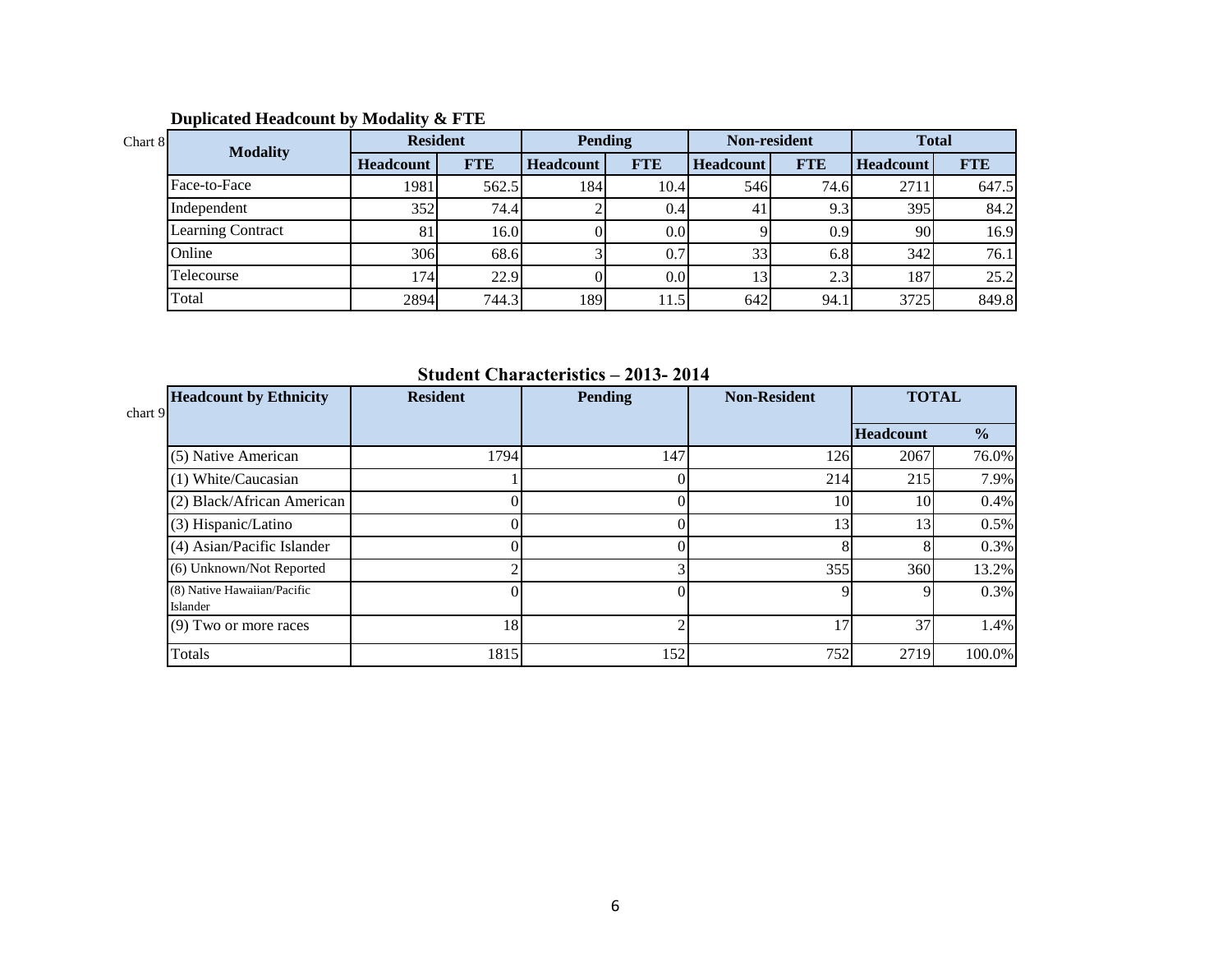| Chart 8 | <b>Modality</b>          | <b>Resident</b>  |            | <b>Pending</b>   |                  | Non-resident     |                  | <b>Total</b>     |            |
|---------|--------------------------|------------------|------------|------------------|------------------|------------------|------------------|------------------|------------|
|         |                          | <b>Headcount</b> | <b>FTE</b> | <b>Headcount</b> | <b>FTE</b>       | <b>Headcount</b> | <b>FTE</b>       | <b>Headcount</b> | <b>FTE</b> |
|         | Face-to-Face             | 1981             | 562.5      | 184 <sup>l</sup> | 10.4             | 546              | 74.6             | 2711             | 647.5      |
|         | Independent              | 352              | 74.4       |                  | 0.4              |                  | 9.31             | 395              | 84.2       |
|         | <b>Learning Contract</b> | 81               | 16.0       |                  | 0.0 <sub>l</sub> |                  | 0.9 <sub>l</sub> | 90               | 16.9       |
|         | Online                   | 306              | 68.6       |                  | 0.7              | 33               | 6.8              | 342              | 76.1       |
|         | Telecourse               | 174              | 22.9       |                  | 0.0              |                  | 2.3              | 187              | 25.2       |
|         | Total                    | 2894             | 744.3      | 189              | 11.5             | 642              | 94.1             | 3725             | 849.8      |

# **Duplicated Headcount by Modality & FTE**

**Student Characteristics – 2013- 2014**

| <b>Headcount by Ethnicity</b><br>chart 9 | <b>Resident</b> | <b>Pending</b> | <b>Non-Resident</b> | <b>TOTAL</b>     |               |
|------------------------------------------|-----------------|----------------|---------------------|------------------|---------------|
|                                          |                 |                |                     | <b>Headcount</b> | $\frac{1}{2}$ |
| (5) Native American                      | 1794            | 147            | 126                 | 2067             | 76.0%         |
| (1) White/Caucasian                      |                 |                | 214                 | 215              | 7.9%          |
| (2) Black/African American               |                 |                | 10                  | 10 <sup>1</sup>  | 0.4%          |
| (3) Hispanic/Latino                      |                 |                | 13                  | 13               | 0.5%          |
| (4) Asian/Pacific Islander               |                 |                |                     |                  | 0.3%          |
| (6) Unknown/Not Reported                 |                 |                | 355                 | 360              | 13.2%         |
| (8) Native Hawaiian/Pacific<br>Islander  |                 |                |                     |                  | 0.3%          |
| $(9)$ Two or more races                  | 18              |                | 17                  | 37               | 1.4%          |
| Totals                                   | 1815            | 152            | 752                 | 2719             | 100.0%        |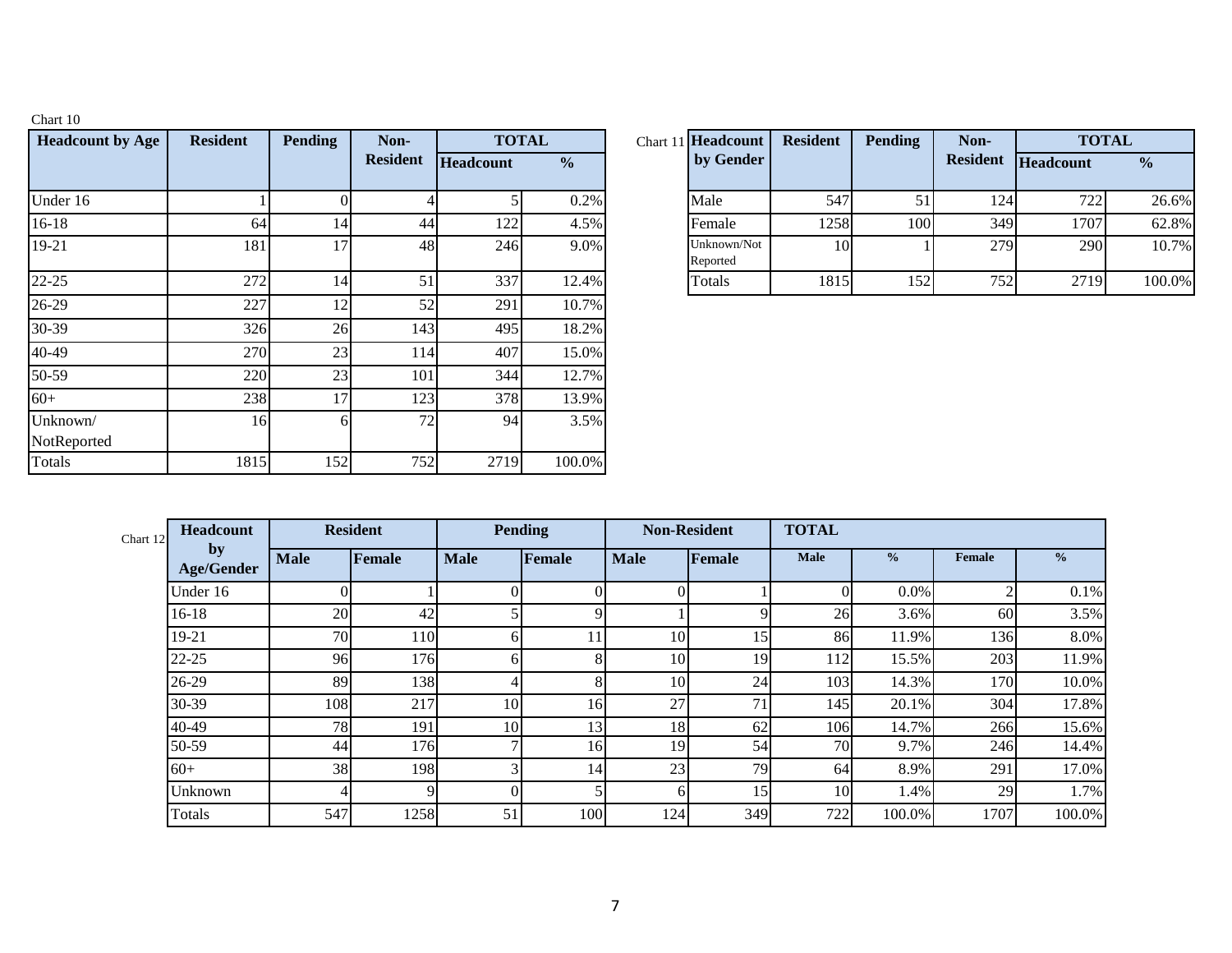| Chart 10                |                 |                |                 |                  |               |          |                         |
|-------------------------|-----------------|----------------|-----------------|------------------|---------------|----------|-------------------------|
| <b>Headcount by Age</b> | <b>Resident</b> | <b>Pending</b> | Non-            |                  | <b>TOTAL</b>  | Chart 11 | <b>Headcount</b>        |
|                         |                 |                | <b>Resident</b> | <b>Headcount</b> | $\frac{6}{6}$ |          | by Gender               |
| Under 16                |                 | $\Omega$       | 4               | 5                | 0.2%          |          | Male                    |
| $16-18$                 | 64              | 14             | 44              | 122              | 4.5%          |          | Female                  |
| 19-21                   | 181             | 17             | 48              | 246              | 9.0%          |          | Unknown/Not<br>Reported |
| $22 - 25$               | 272             | 14             | 51              | 337              | 12.4%         |          | Totals                  |
| 26-29                   | 227             | 12             | 52              | 291              | 10.7%         |          |                         |
| 30-39                   | 326             | 26             | 143             | 495              | 18.2%         |          |                         |
| 40-49                   | 270             | 23             | 114             | 407              | 15.0%         |          |                         |
| 50-59                   | 220             | 23             | 101             | 344              | 12.7%         |          |                         |
| $60+$                   | 238             | 17             | 123             | 378              | 13.9%         |          |                         |
| Unknown/<br>NotReported | 16              | 6              | 72              | 94               | 3.5%          |          |                         |
| <b>Totals</b>           | 1815            | 152            | 752             | 2719             | 100.0%        |          |                         |

| <b>Resident</b> | <b>Pending</b> | Non-            | <b>TOTAL</b> |               | Chart 11 Headcount      | <b>Resident</b> | <b>Pending</b> | Non-            | <b>TOTAL</b>     |               |
|-----------------|----------------|-----------------|--------------|---------------|-------------------------|-----------------|----------------|-----------------|------------------|---------------|
|                 |                | <b>Resident</b> | Headcount    | $\frac{1}{2}$ | by Gender               |                 |                | <b>Resident</b> | <b>Headcount</b> | $\frac{0}{0}$ |
|                 |                |                 |              | 0.2%          | Male                    | 547             | 51             | 124             | 722              | 26.6%         |
| 64              | 14             | 44              | 122          | 4.5%          | Female                  | 1258            | 100            | 349             | 1707             | 62.8%         |
| 181             |                | 48              | 246          | 9.0%          | Unknown/Not<br>Reported | 10 <sup>1</sup> |                | 279             | 290              | 10.7%         |
| 272             | 14             |                 | 337          | 12.4%         | Totals                  | 1815            | 152            | 752             | 2719             | 100.0%        |

| Chart 12 | Headcount               | <b>Resident</b> |               | <b>Pending</b> |             | <b>Non-Resident</b> |        | <b>TOTAL</b> |               |               |               |  |
|----------|-------------------------|-----------------|---------------|----------------|-------------|---------------------|--------|--------------|---------------|---------------|---------------|--|
|          | by<br><b>Age/Gender</b> | <b>Male</b>     | <b>Female</b> | <b>Male</b>    | Female      | <b>Male</b>         | Female | <b>Male</b>  | $\frac{0}{0}$ | <b>Female</b> | $\frac{0}{0}$ |  |
|          | Under 16                |                 |               |                | $\Omega$    |                     |        |              | $0.0\%$       |               | 0.1%          |  |
|          | $16-18$                 | 20              | 42            |                | $\mathbf Q$ |                     |        | 26           | 3.6%          | 60            | 3.5%          |  |
|          | 19-21                   | 70              | 110           | hl             |             | 10                  | 15     | 86           | 11.9%         | 136           | 8.0%          |  |
|          | $22 - 25$               | 96              | 176           | hl             | 8           | 10                  | 19     | 112          | 15.5%         | 203           | 11.9%         |  |
|          | 26-29                   | 89              | 138           |                | 8           | 10                  | 24     | 103          | 14.3%         | 170           | 10.0%         |  |
|          | 30-39                   | 108             | 217           | 10             | 16          | 27                  | 71     | 145          | 20.1%         | 304           | 17.8%         |  |
|          | 40-49                   | 78              | 191           | 10             | 13          | 18                  | 62     | 106          | 14.7%         | 266           | 15.6%         |  |
|          | 50-59                   | 44              | 176           |                | 16          | 19                  | 54     | 70           | 9.7%          | 246           | 14.4%         |  |
|          | $60+$                   | 38              | 198           |                | 14          | 23                  | 79     | 64           | 8.9%          | 291           | 17.0%         |  |
|          | Unknown                 |                 | Q             |                |             | 6                   | 15     | 10           | 1.4%          | 29            | 1.7%          |  |
|          | Totals                  | 547             | 1258          | 51             | 100         | 124                 | 349    | 722          | 100.0%        | 1707          | 100.0%        |  |

7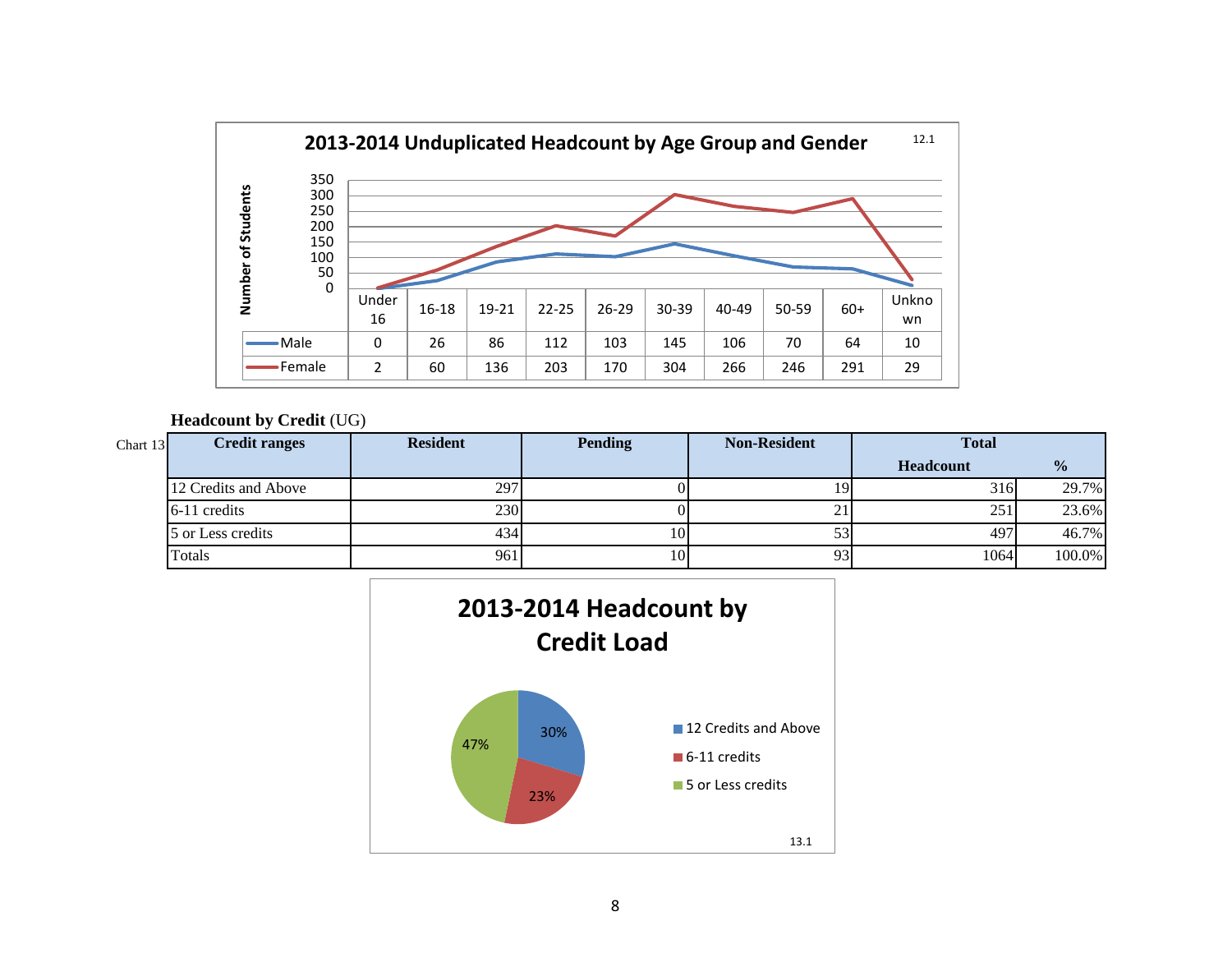

**Headcount by Credit** (UG)

| Chart 13 | <b>Credit ranges</b> | <b>Resident</b> | <b>Pending</b> | <b>Non-Resident</b> | <b>Total</b> |               |
|----------|----------------------|-----------------|----------------|---------------------|--------------|---------------|
|          |                      |                 |                |                     | Headcount    | $\frac{0}{0}$ |
|          | 12 Credits and Above | 297             |                |                     | 316          | 29.7%         |
|          | 6-11 credits         | 230             |                | 21                  | 251          | 23.6%         |
|          | 5 or Less credits    | 434             |                |                     | 497          | 46.7%         |
|          | Totals               | 961             |                | 93                  | 1064         | 100.0%        |

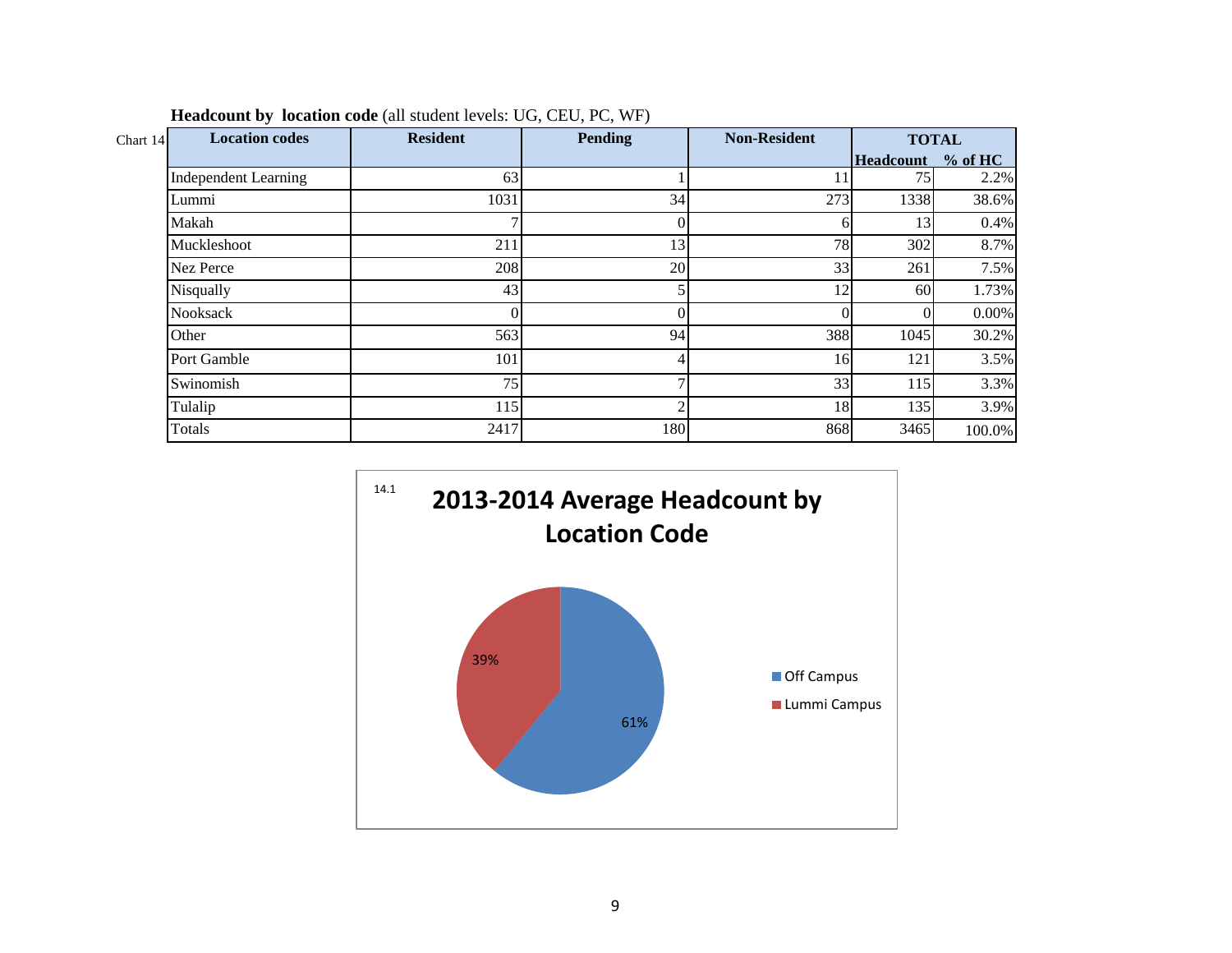| <b>Location codes</b><br>Chart 14 | <b>Resident</b> | <b>Pending</b> | <b>Non-Resident</b> | <b>TOTAL</b> |          |
|-----------------------------------|-----------------|----------------|---------------------|--------------|----------|
|                                   |                 |                |                     | Headcount    | % of HC  |
| <b>Independent Learning</b>       | 63              |                | 11                  | 75           | 2.2%     |
| Lummi                             | 1031            | 34             | 273                 | 1338         | 38.6%    |
| Makah                             |                 |                |                     | 13           | 0.4%     |
| Muckleshoot                       | 211             | 13             | 78                  | 302          | 8.7%     |
| Nez Perce                         | 208             | 20             | 33                  | 261          | 7.5%     |
| Nisqually                         | 43              |                | 12                  | 60           | 1.73%    |
| <b>Nooksack</b>                   | 01              |                |                     | $\Omega$     | $0.00\%$ |
| Other                             | 563             | 94             | 388                 | 1045         | 30.2%    |
| Port Gamble                       | 101             |                | 16                  | 121          | 3.5%     |
| Swinomish                         | 75              |                | 33                  | 115          | 3.3%     |
| Tulalip                           | 115             |                | 18                  | 135          | 3.9%     |
| Totals                            | 2417            | 180            | 868                 | 3465         | 100.0%   |

|  |  | <b>Headcount by location code</b> (all student levels: UG, CEU, PC, WF) |  |  |
|--|--|-------------------------------------------------------------------------|--|--|
|--|--|-------------------------------------------------------------------------|--|--|

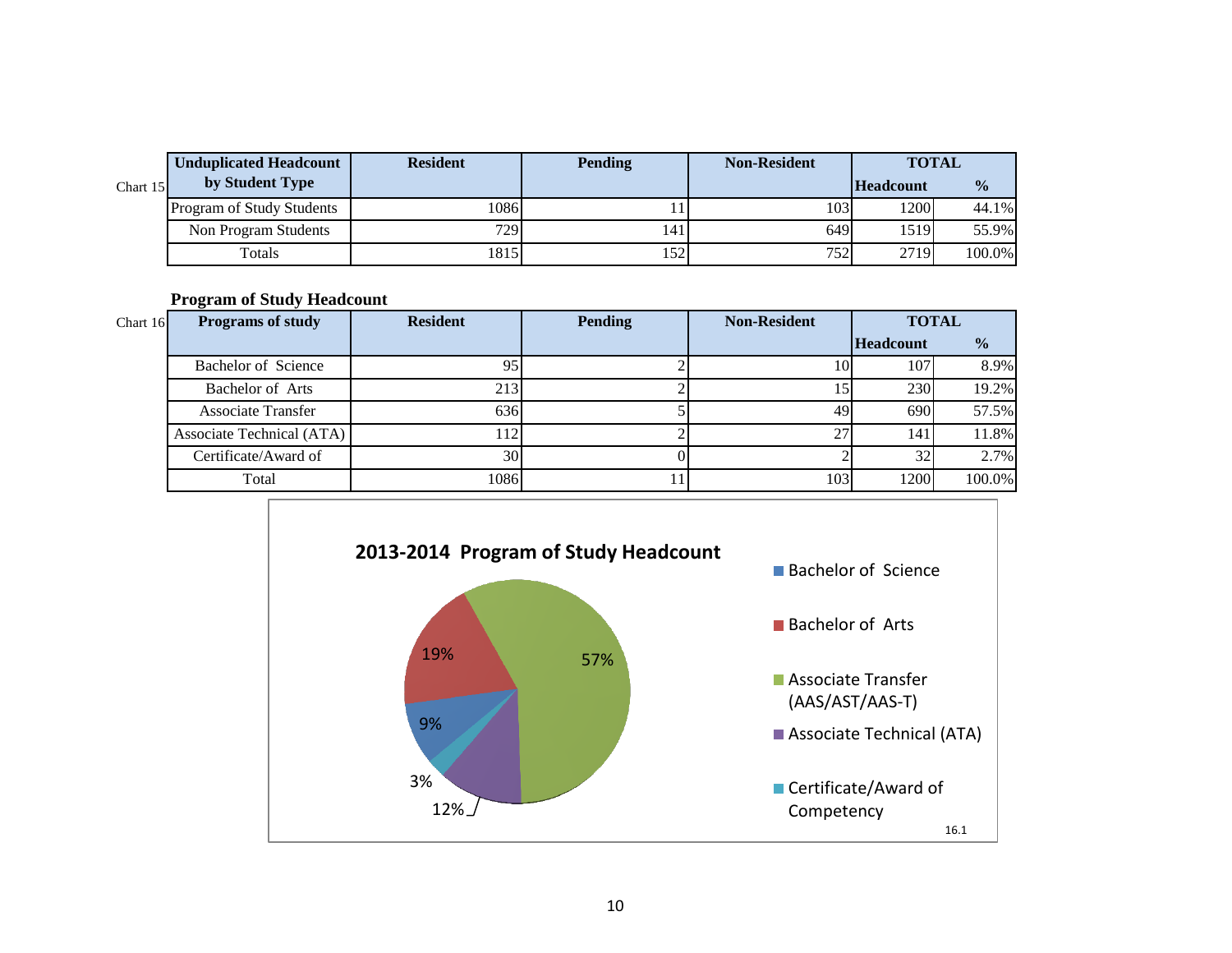|            | <b>Unduplicated Headcount</b> | <b>Resident</b> | <b>Pending</b> | <b>Non-Resident</b> | <b>TOTAL</b>     |               |
|------------|-------------------------------|-----------------|----------------|---------------------|------------------|---------------|
| Chart $15$ | by Student Type               |                 |                |                     | <b>Headcount</b> | $\frac{0}{0}$ |
|            | Program of Study Students     | 1086            |                | 1031                | 1200             | 44.1%         |
|            | Non Program Students          | 7291            | 141            | 649                 | 1519             | 55.9%         |
|            | Totals                        | 1815            | 152            | 752                 | 2719             | 100.0%        |

**Program of Study Headcount** 

| Chart 16 | <b>Programs of study</b>  | <b>Resident</b> | <b>Pending</b> | <b>Non-Resident</b> | <b>TOTAL</b>     |               |  |
|----------|---------------------------|-----------------|----------------|---------------------|------------------|---------------|--|
|          |                           |                 |                |                     | <b>Headcount</b> | $\frac{0}{0}$ |  |
|          | Bachelor of Science       | 95              |                | 10                  | 107              | 8.9%          |  |
|          | Bachelor of Arts          | 213             |                | 15                  | 230              | 19.2%         |  |
|          | <b>Associate Transfer</b> | 636             |                | 49                  | 690              | 57.5%         |  |
|          | Associate Technical (ATA) | 112             |                | 27                  | 141              | 11.8%         |  |
|          | Certificate/Award of      | 30              |                |                     | 32               | 2.7%          |  |
|          | Total                     | 1086            |                | 103                 | 1200             | 100.0%        |  |